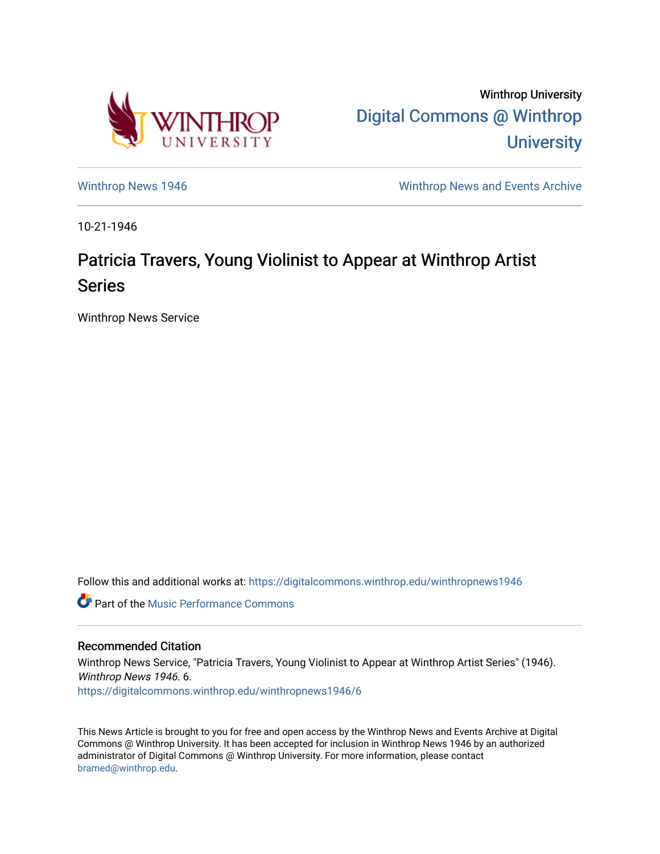

Winthrop University [Digital Commons @ Winthrop](https://digitalcommons.winthrop.edu/)  **University** 

[Winthrop News 1946](https://digitalcommons.winthrop.edu/winthropnews1946) [Winthrop News and Events Archive](https://digitalcommons.winthrop.edu/winthropnewsarchives) 

10-21-1946

## Patricia Travers, Young Violinist to Appear at Winthrop Artist Series

Winthrop News Service

Follow this and additional works at: [https://digitalcommons.winthrop.edu/winthropnews1946](https://digitalcommons.winthrop.edu/winthropnews1946?utm_source=digitalcommons.winthrop.edu%2Fwinthropnews1946%2F6&utm_medium=PDF&utm_campaign=PDFCoverPages) 

**C** Part of the [Music Performance Commons](http://network.bepress.com/hgg/discipline/1128?utm_source=digitalcommons.winthrop.edu%2Fwinthropnews1946%2F6&utm_medium=PDF&utm_campaign=PDFCoverPages)

## Recommended Citation

Winthrop News Service, "Patricia Travers, Young Violinist to Appear at Winthrop Artist Series" (1946). Winthrop News 1946. 6. [https://digitalcommons.winthrop.edu/winthropnews1946/6](https://digitalcommons.winthrop.edu/winthropnews1946/6?utm_source=digitalcommons.winthrop.edu%2Fwinthropnews1946%2F6&utm_medium=PDF&utm_campaign=PDFCoverPages) 

This News Article is brought to you for free and open access by the Winthrop News and Events Archive at Digital Commons @ Winthrop University. It has been accepted for inclusion in Winthrop News 1946 by an authorized administrator of Digital Commons @ Winthrop University. For more information, please contact [bramed@winthrop.edu.](mailto:bramed@winthrop.edu)